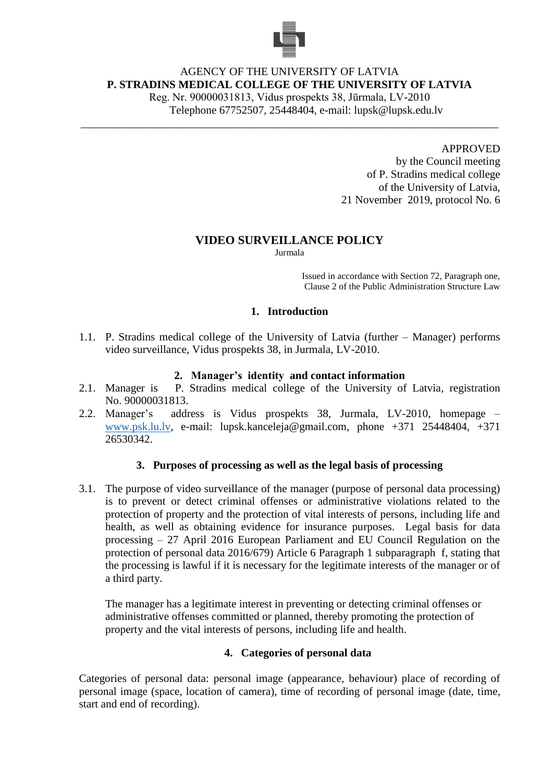

# AGENCY OF THE UNIVERSITY OF LATVIA **P. STRADINS MEDICAL COLLEGE OF THE UNIVERSITY OF LATVIA**

\_\_\_\_\_\_\_\_\_\_\_\_\_\_\_\_\_\_\_\_\_\_\_\_\_\_\_\_\_\_\_\_\_\_\_\_\_\_\_\_\_\_\_\_\_\_\_\_\_\_\_\_\_\_\_\_\_\_\_\_\_\_\_\_\_\_\_\_\_\_\_\_\_\_\_

Reg. Nr. 90000031813, Vidus prospekts 38, Jūrmala, LV-2010 Telephone 67752507, 25448404, e-mail: lupsk@lupsk.edu.lv

> APPROVED by the Council meeting of P. Stradins medical college of the University of Latvia, 21 November 2019, protocol No. 6

### **VIDEO SURVEILLANCE POLICY**

Jurmala

Issued in accordance with Section 72, Paragraph one, Clause 2 of the Public Administration Structure Law

### **1. Introduction**

1.1. P. Stradins medical college of the University of Latvia (further – Manager) performs video surveillance, Vidus prospekts 38, in Jurmala, LV-2010.

### **2. Manager's identity and contact information**

- 2.1. Manager is P. Stradins medical college of the University of Latvia, registration No. 90000031813.
- 2.2. Manager's address is Vidus prospekts 38, Jurmala, LV-2010, homepage [www.psk.lu.lv,](http://www.psk.lu.lv/) e-mail: lupsk.kanceleja@gmail.com, phone +371 25448404, +371 26530342.

### **3. Purposes of processing as well as the legal basis of processing**

3.1. The purpose of video surveillance of the manager (purpose of personal data processing) is to prevent or detect criminal offenses or administrative violations related to the protection of property and the protection of vital interests of persons, including life and health, as well as obtaining evidence for insurance purposes. Legal basis for data processing – 27 April 2016 European Parliament and EU Council Regulation on the protection of personal data 2016/679) Article 6 Paragraph 1 subparagraph f, stating that the processing is lawful if it is necessary for the legitimate interests of the manager or of a third party.

The manager has a legitimate interest in preventing or detecting criminal offenses or administrative offenses committed or planned, thereby promoting the protection of property and the vital interests of persons, including life and health.

## **4. Categories of personal data**

Categories of personal data: personal image (appearance, behaviour) place of recording of personal image (space, location of camera), time of recording of personal image (date, time, start and end of recording).